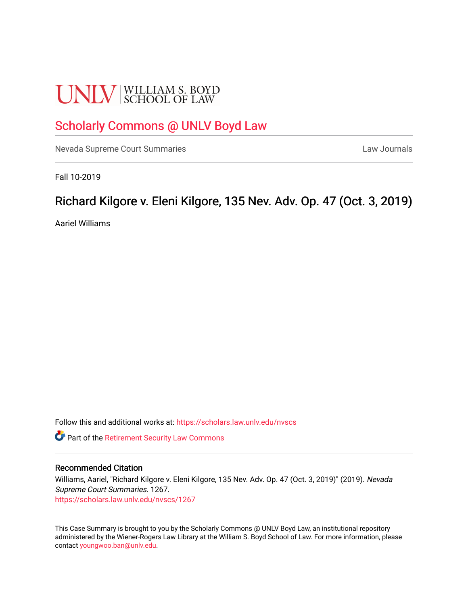# **UNLV** SCHOOL OF LAW

# [Scholarly Commons @ UNLV Boyd Law](https://scholars.law.unlv.edu/)

[Nevada Supreme Court Summaries](https://scholars.law.unlv.edu/nvscs) **Law Journals** Law Journals

Fall 10-2019

# Richard Kilgore v. Eleni Kilgore, 135 Nev. Adv. Op. 47 (Oct. 3, 2019)

Aariel Williams

Follow this and additional works at: [https://scholars.law.unlv.edu/nvscs](https://scholars.law.unlv.edu/nvscs?utm_source=scholars.law.unlv.edu%2Fnvscs%2F1267&utm_medium=PDF&utm_campaign=PDFCoverPages)

**C** Part of the [Retirement Security Law Commons](http://network.bepress.com/hgg/discipline/873?utm_source=scholars.law.unlv.edu%2Fnvscs%2F1267&utm_medium=PDF&utm_campaign=PDFCoverPages)

#### Recommended Citation

Williams, Aariel, "Richard Kilgore v. Eleni Kilgore, 135 Nev. Adv. Op. 47 (Oct. 3, 2019)" (2019). Nevada Supreme Court Summaries. 1267. [https://scholars.law.unlv.edu/nvscs/1267](https://scholars.law.unlv.edu/nvscs/1267?utm_source=scholars.law.unlv.edu%2Fnvscs%2F1267&utm_medium=PDF&utm_campaign=PDFCoverPages) 

This Case Summary is brought to you by the Scholarly Commons @ UNLV Boyd Law, an institutional repository administered by the Wiener-Rogers Law Library at the William S. Boyd School of Law. For more information, please contact [youngwoo.ban@unlv.edu](mailto:youngwoo.ban@unlv.edu).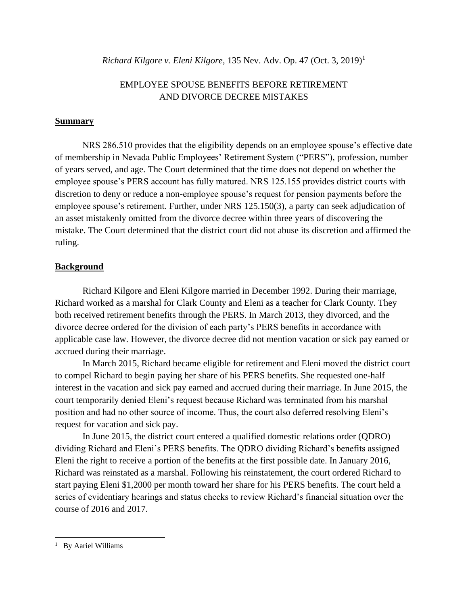*Richard Kilgore v. Eleni Kilgore*, 135 Nev. Adv. Op. 47 (Oct. 3, 2019)<sup>1</sup>

## EMPLOYEE SPOUSE BENEFITS BEFORE RETIREMENT AND DIVORCE DECREE MISTAKES

#### **Summary**

NRS 286.510 provides that the eligibility depends on an employee spouse's effective date of membership in Nevada Public Employees' Retirement System ("PERS"), profession, number of years served, and age. The Court determined that the time does not depend on whether the employee spouse's PERS account has fully matured. NRS 125.155 provides district courts with discretion to deny or reduce a non-employee spouse's request for pension payments before the employee spouse's retirement. Further, under NRS 125.150(3), a party can seek adjudication of an asset mistakenly omitted from the divorce decree within three years of discovering the mistake. The Court determined that the district court did not abuse its discretion and affirmed the ruling.

#### **Background**

Richard Kilgore and Eleni Kilgore married in December 1992. During their marriage, Richard worked as a marshal for Clark County and Eleni as a teacher for Clark County. They both received retirement benefits through the PERS. In March 2013, they divorced, and the divorce decree ordered for the division of each party's PERS benefits in accordance with applicable case law. However, the divorce decree did not mention vacation or sick pay earned or accrued during their marriage.

In March 2015, Richard became eligible for retirement and Eleni moved the district court to compel Richard to begin paying her share of his PERS benefits. She requested one-half interest in the vacation and sick pay earned and accrued during their marriage. In June 2015, the court temporarily denied Eleni's request because Richard was terminated from his marshal position and had no other source of income. Thus, the court also deferred resolving Eleni's request for vacation and sick pay.

In June 2015, the district court entered a qualified domestic relations order (QDRO) dividing Richard and Eleni's PERS benefits. The QDRO dividing Richard's benefits assigned Eleni the right to receive a portion of the benefits at the first possible date. In January 2016, Richard was reinstated as a marshal. Following his reinstatement, the court ordered Richard to start paying Eleni \$1,2000 per month toward her share for his PERS benefits. The court held a series of evidentiary hearings and status checks to review Richard's financial situation over the course of 2016 and 2017.

<sup>&</sup>lt;sup>1</sup> By Aariel Williams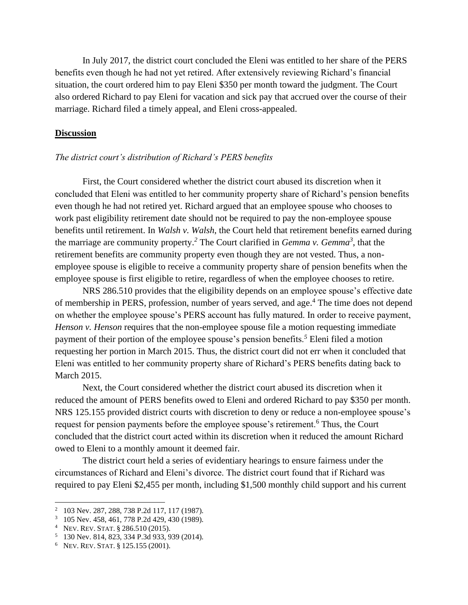In July 2017, the district court concluded the Eleni was entitled to her share of the PERS benefits even though he had not yet retired. After extensively reviewing Richard's financial situation, the court ordered him to pay Eleni \$350 per month toward the judgment. The Court also ordered Richard to pay Eleni for vacation and sick pay that accrued over the course of their marriage. Richard filed a timely appeal, and Eleni cross-appealed.

#### **Discussion**

#### *The district court's distribution of Richard's PERS benefits*

First, the Court considered whether the district court abused its discretion when it concluded that Eleni was entitled to her community property share of Richard's pension benefits even though he had not retired yet. Richard argued that an employee spouse who chooses to work past eligibility retirement date should not be required to pay the non-employee spouse benefits until retirement. In *Walsh v. Walsh*, the Court held that retirement benefits earned during the marriage are community property.*<sup>2</sup>* The Court clarified in *Gemma v. Gemma<sup>3</sup>* , that the retirement benefits are community property even though they are not vested. Thus, a nonemployee spouse is eligible to receive a community property share of pension benefits when the employee spouse is first eligible to retire, regardless of when the employee chooses to retire.

NRS 286.510 provides that the eligibility depends on an employee spouse's effective date of membership in PERS, profession, number of years served, and age.<sup>4</sup> The time does not depend on whether the employee spouse's PERS account has fully matured. In order to receive payment, *Henson v. Henson* requires that the non-employee spouse file a motion requesting immediate payment of their portion of the employee spouse's pension benefits.*<sup>5</sup>* Eleni filed a motion requesting her portion in March 2015. Thus, the district court did not err when it concluded that Eleni was entitled to her community property share of Richard's PERS benefits dating back to March 2015.

Next, the Court considered whether the district court abused its discretion when it reduced the amount of PERS benefits owed to Eleni and ordered Richard to pay \$350 per month. NRS 125.155 provided district courts with discretion to deny or reduce a non-employee spouse's request for pension payments before the employee spouse's retirement.<sup>6</sup> Thus, the Court concluded that the district court acted within its discretion when it reduced the amount Richard owed to Eleni to a monthly amount it deemed fair.

The district court held a series of evidentiary hearings to ensure fairness under the circumstances of Richard and Eleni's divorce. The district court found that if Richard was required to pay Eleni \$2,455 per month, including \$1,500 monthly child support and his current

<sup>2</sup> 103 Nev. 287, 288, 738 P.2d 117, 117 (1987).

<sup>&</sup>lt;sup>3</sup> 105 Nev. 458, 461, 778 P.2d 429, 430 (1989).

<sup>4</sup> NEV. REV. STAT. § 286.510 (2015).

<sup>5</sup> 130 Nev. 814, 823, 334 P.3d 933, 939 (2014).

<sup>6</sup> NEV. REV. STAT. § 125.155 (2001).